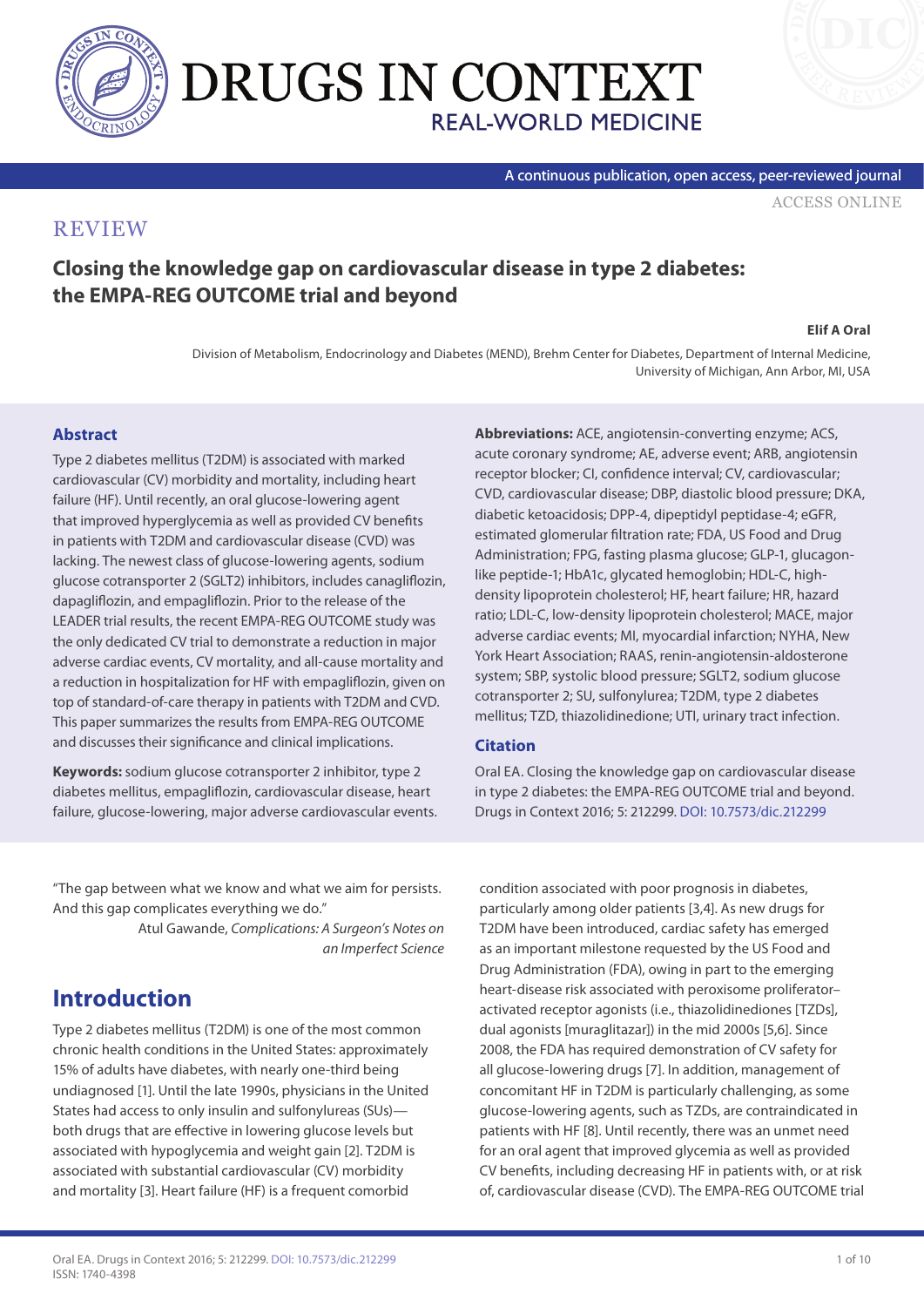

# DRUGS IN CONTEXT **REAL-WORLD MEDICINE**

A continuous publication, open access, peer-reviewed journal

[ACCESS ONLINE](http://www.drugsincontext.com/closing-the-knowledge-gap-on-cardiovascular-disease-in-type-2-diabetes-the-empa-reg-outcome-trial-and-beyond)

#### **REVIEW**

#### **Closing the knowledge gap on cardiovascular disease in type 2 diabetes: the EMPA-REG OUTCOME trial and beyond**

#### **Elif A Oral**

Division of Metabolism, Endocrinology and Diabetes (MEND), Brehm Center for Diabetes, Department of Internal Medicine, University of Michigan, Ann Arbor, MI, USA

#### **Abstract**

Type 2 diabetes mellitus (T2DM) is associated with marked cardiovascular (CV) morbidity and mortality, including heart failure (HF). Until recently, an oral glucose-lowering agent that improved hyperglycemia as well as provided CV benefits in patients with T2DM and cardiovascular disease (CVD) was lacking. The newest class of glucose-lowering agents, sodium glucose cotransporter 2 (SGLT2) inhibitors, includes canagliflozin, dapagliflozin, and empagliflozin. Prior to the release of the LEADER trial results, the recent EMPA-REG OUTCOME study was the only dedicated CV trial to demonstrate a reduction in major adverse cardiac events, CV mortality, and all-cause mortality and a reduction in hospitalization for HF with empagliflozin, given on top of standard-of-care therapy in patients with T2DM and CVD. This paper summarizes the results from EMPA-REG OUTCOME and discusses their significance and clinical implications.

**Keywords:** sodium glucose cotransporter 2 inhibitor, type 2 diabetes mellitus, empagliflozin, cardiovascular disease, heart failure, glucose-lowering, major adverse cardiovascular events. **Abbreviations:** ACE, angiotensin-converting enzyme; ACS, acute coronary syndrome; AE, adverse event; ARB, angiotensin receptor blocker; CI, confidence interval; CV, cardiovascular; CVD, cardiovascular disease; DBP, diastolic blood pressure; DKA, diabetic ketoacidosis; DPP-4, dipeptidyl peptidase-4; eGFR, estimated glomerular filtration rate; FDA, US Food and Drug Administration; FPG, fasting plasma glucose; GLP-1, glucagonlike peptide-1; HbA1c, glycated hemoglobin; HDL-C, highdensity lipoprotein cholesterol; HF, heart failure; HR, hazard ratio; LDL-C, low-density lipoprotein cholesterol; MACE, major adverse cardiac events; MI, myocardial infarction; NYHA, New York Heart Association; RAAS, renin-angiotensin-aldosterone system; SBP, systolic blood pressure; SGLT2, sodium glucose cotransporter 2; SU, sulfonylurea; T2DM, type 2 diabetes mellitus; TZD, thiazolidinedione; UTI, urinary tract infection.

#### **Citation**

Oral EA. Closing the knowledge gap on cardiovascular disease in type 2 diabetes: the EMPA-REG OUTCOME trial and beyond. Drugs in Context 2016; 5: 212299. [DOI: 10.7573/dic.212299](http://dx.doi.org/10.7573/dic.212299)

"The gap between what we know and what we aim for persists. And this gap complicates everything we do."

> Atul Gawande, *Complications: A Surgeon's Notes on an Imperfect Science*

### **Introduction**

Type 2 diabetes mellitus (T2DM) is one of the most common chronic health conditions in the United States: approximately 15% of adults have diabetes, with nearly one-third being undiagnosed [1]. Until the late 1990s, physicians in the United States had access to only insulin and sulfonylureas (SUs) both drugs that are effective in lowering glucose levels but associated with hypoglycemia and weight gain [2]. T2DM is associated with substantial cardiovascular (CV) morbidity and mortality [3]. Heart failure (HF) is a frequent comorbid

condition associated with poor prognosis in diabetes, particularly among older patients [3,4]. As new drugs for T2DM have been introduced, cardiac safety has emerged as an important milestone requested by the US Food and Drug Administration (FDA), owing in part to the emerging heart-disease risk associated with peroxisome proliferator– activated receptor agonists (i.e., thiazolidinediones [TZDs], dual agonists [muraglitazar]) in the mid 2000s [5,6]. Since 2008, the FDA has required demonstration of CV safety for all glucose-lowering drugs [7]. In addition, management of concomitant HF in T2DM is particularly challenging, as some glucose-lowering agents, such as TZDs, are contraindicated in patients with HF [8]. Until recently, there was an unmet need for an oral agent that improved glycemia as well as provided CV benefits, including decreasing HF in patients with, or at risk of, cardiovascular disease (CVD). The EMPA-REG OUTCOME trial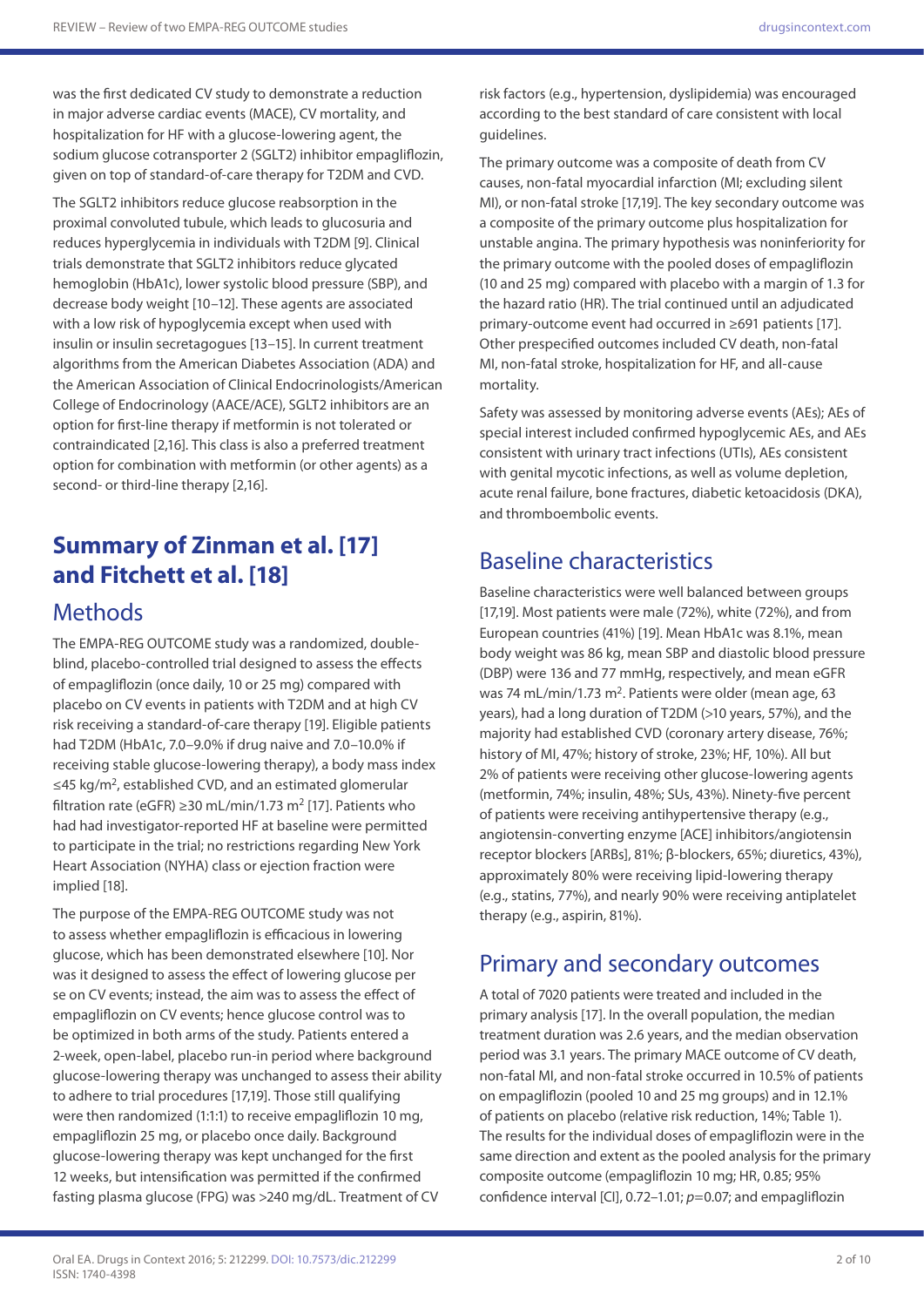was the first dedicated CV study to demonstrate a reduction in major adverse cardiac events (MACE), CV mortality, and hospitalization for HF with a glucose-lowering agent, the sodium glucose cotransporter 2 (SGLT2) inhibitor empagliflozin, given on top of standard-of-care therapy for T2DM and CVD.

The SGLT2 inhibitors reduce glucose reabsorption in the proximal convoluted tubule, which leads to glucosuria and reduces hyperglycemia in individuals with T2DM [9]. Clinical trials demonstrate that SGLT2 inhibitors reduce glycated hemoglobin (HbA1c), lower systolic blood pressure (SBP), and decrease body weight [10–12]. These agents are associated with a low risk of hypoglycemia except when used with insulin or insulin secretagogues [13–15]. In current treatment algorithms from the American Diabetes Association (ADA) and the American Association of Clinical Endocrinologists/American College of Endocrinology (AACE/ACE), SGLT2 inhibitors are an option for first-line therapy if metformin is not tolerated or contraindicated [2,16]. This class is also a preferred treatment option for combination with metformin (or other agents) as a second- or third-line therapy [2,16].

## **Summary of Zinman et al. [17] and Fitchett et al. [18]**

### **Methods**

The EMPA-REG OUTCOME study was a randomized, doubleblind, placebo-controlled trial designed to assess the effects of empagliflozin (once daily, 10 or 25 mg) compared with placebo on CV events in patients with T2DM and at high CV risk receiving a standard-of-care therapy [19]. Eligible patients had T2DM (HbA1c, 7.0–9.0% if drug naive and 7.0–10.0% if receiving stable glucose-lowering therapy), a body mass index ≤45 kg/m2, established CVD, and an estimated glomerular filtration rate (eGFR)  $\geq$ 30 mL/min/1.73 m<sup>2</sup> [17]. Patients who had had investigator-reported HF at baseline were permitted to participate in the trial; no restrictions regarding New York Heart Association (NYHA) class or ejection fraction were implied [18].

The purpose of the EMPA-REG OUTCOME study was not to assess whether empagliflozin is efficacious in lowering glucose, which has been demonstrated elsewhere [10]. Nor was it designed to assess the effect of lowering glucose per se on CV events; instead, the aim was to assess the effect of empagliflozin on CV events; hence glucose control was to be optimized in both arms of the study. Patients entered a 2-week, open-label, placebo run-in period where background glucose-lowering therapy was unchanged to assess their ability to adhere to trial procedures [17,19]. Those still qualifying were then randomized (1:1:1) to receive empagliflozin 10 mg, empagliflozin 25 mg, or placebo once daily. Background glucose-lowering therapy was kept unchanged for the first 12 weeks, but intensification was permitted if the confirmed fasting plasma glucose (FPG) was >240 mg/dL. Treatment of CV

risk factors (e.g., hypertension, dyslipidemia) was encouraged according to the best standard of care consistent with local guidelines.

The primary outcome was a composite of death from CV causes, non-fatal myocardial infarction (MI; excluding silent MI), or non-fatal stroke [17,19]. The key secondary outcome was a composite of the primary outcome plus hospitalization for unstable angina. The primary hypothesis was noninferiority for the primary outcome with the pooled doses of empagliflozin (10 and 25 mg) compared with placebo with a margin of 1.3 for the hazard ratio (HR). The trial continued until an adjudicated primary-outcome event had occurred in ≥691 patients [17]. Other prespecified outcomes included CV death, non-fatal MI, non-fatal stroke, hospitalization for HF, and all-cause mortality.

Safety was assessed by monitoring adverse events (AEs); AEs of special interest included confirmed hypoglycemic AEs, and AEs consistent with urinary tract infections (UTIs), AEs consistent with genital mycotic infections, as well as volume depletion, acute renal failure, bone fractures, diabetic ketoacidosis (DKA), and thromboembolic events.

### Baseline characteristics

Baseline characteristics were well balanced between groups [17,19]. Most patients were male (72%), white (72%), and from European countries (41%) [19]. Mean HbA1c was 8.1%, mean body weight was 86 kg, mean SBP and diastolic blood pressure (DBP) were 136 and 77 mmHg, respectively, and mean eGFR was 74 mL/min/1.73 m<sup>2</sup>. Patients were older (mean age, 63 years), had a long duration of T2DM (>10 years, 57%), and the majority had established CVD (coronary artery disease, 76%; history of MI, 47%; history of stroke, 23%; HF, 10%). All but 2% of patients were receiving other glucose-lowering agents (metformin, 74%; insulin, 48%; SUs, 43%). Ninety-five percent of patients were receiving antihypertensive therapy (e.g., angiotensin-converting enzyme [ACE] inhibitors/angiotensin receptor blockers [ARBs], 81%; β-blockers, 65%; diuretics, 43%), approximately 80% were receiving lipid-lowering therapy (e.g., statins, 77%), and nearly 90% were receiving antiplatelet therapy (e.g., aspirin, 81%).

## Primary and secondary outcomes

A total of 7020 patients were treated and included in the primary analysis [17]. In the overall population, the median treatment duration was 2.6 years, and the median observation period was 3.1 years. The primary MACE outcome of CV death, non-fatal MI, and non-fatal stroke occurred in 10.5% of patients on empagliflozin (pooled 10 and 25 mg groups) and in 12.1% of patients on placebo (relative risk reduction, 14%; Table 1). The results for the individual doses of empagliflozin were in the same direction and extent as the pooled analysis for the primary composite outcome (empagliflozin 10 mg; HR, 0.85; 95% confidence interval [CI], 0.72–1.01; *p*=0.07; and empagliflozin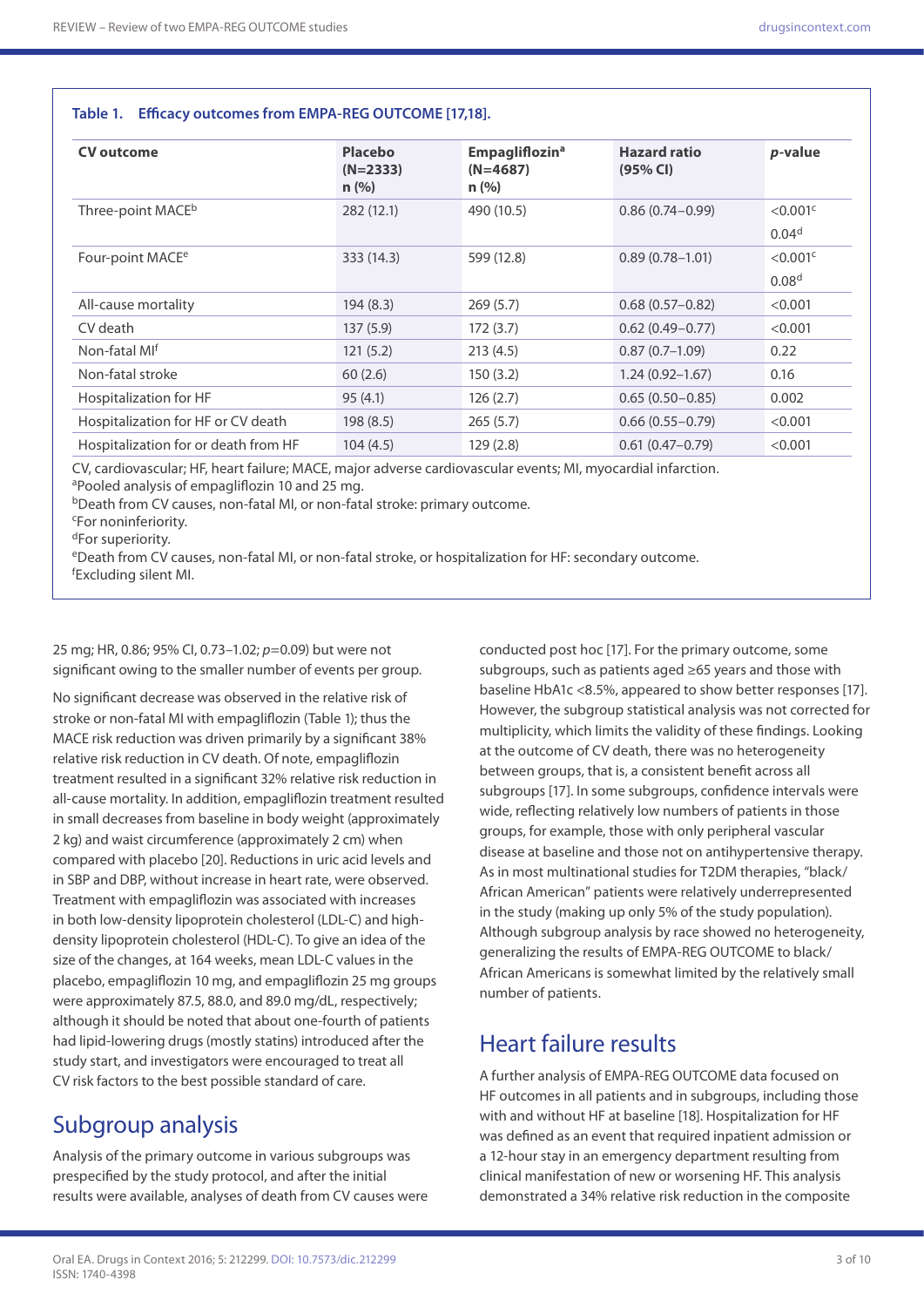#### **Table 1. Efficacy outcomes from EMPA-REG OUTCOME [17,18].**

| <b>CV</b> outcome                    | <b>Placebo</b><br>$(N=2333)$<br>n (% ) | <b>Empagliflozin<sup>a</sup></b><br>$(N=4687)$<br>n (% ) | <b>Hazard ratio</b><br>(95% CI) | <i>p</i> -value                              |
|--------------------------------------|----------------------------------------|----------------------------------------------------------|---------------------------------|----------------------------------------------|
| Three-point MACE <sup>b</sup>        | 282 (12.1)                             | 490 (10.5)                                               | $0.86(0.74 - 0.99)$             | $<$ 0.001 $\textdegree$<br>0.04 <sup>d</sup> |
| Four-point MACE <sup>e</sup>         | 333(14.3)                              | 599 (12.8)                                               | $0.89(0.78 - 1.01)$             | $<$ 0.001 $<$<br>0.08 <sup>d</sup>           |
| All-cause mortality                  | 194(8.3)                               | 269(5.7)                                                 | $0.68(0.57-0.82)$               | < 0.001                                      |
| CV death                             | 137(5.9)                               | 172(3.7)                                                 | $0.62(0.49 - 0.77)$             | < 0.001                                      |
| Non-fatal MI <sup>f</sup>            | 121(5.2)                               | 213(4.5)                                                 | $0.87(0.7-1.09)$                | 0.22                                         |
| Non-fatal stroke                     | 60(2.6)                                | 150(3.2)                                                 | $1.24(0.92 - 1.67)$             | 0.16                                         |
| Hospitalization for HF               | 95(4.1)                                | 126(2.7)                                                 | $0.65(0.50 - 0.85)$             | 0.002                                        |
| Hospitalization for HF or CV death   | 198(8.5)                               | 265(5.7)                                                 | $0.66(0.55 - 0.79)$             | < 0.001                                      |
| Hospitalization for or death from HF | 104(4.5)                               | 129(2.8)                                                 | $0.61(0.47 - 0.79)$             | < 0.001                                      |

CV, cardiovascular; HF, heart failure; MACE, major adverse cardiovascular events; MI, myocardial infarction.

bDeath from CV causes, non-fatal MI, or non-fatal stroke: primary outcome.

c For noninferiority.

dFor superiority.

eDeath from CV causes, non-fatal MI, or non-fatal stroke, or hospitalization for HF: secondary outcome. f Excluding silent MI.

25 mg; HR, 0.86; 95% CI, 0.73–1.02; *p*=0.09) but were not significant owing to the smaller number of events per group.

No significant decrease was observed in the relative risk of stroke or non-fatal MI with empagliflozin (Table 1); thus the MACE risk reduction was driven primarily by a significant 38% relative risk reduction in CV death. Of note, empagliflozin treatment resulted in a significant 32% relative risk reduction in all-cause mortality. In addition, empagliflozin treatment resulted in small decreases from baseline in body weight (approximately 2 kg) and waist circumference (approximately 2 cm) when compared with placebo [20]. Reductions in uric acid levels and in SBP and DBP, without increase in heart rate, were observed. Treatment with empagliflozin was associated with increases in both low-density lipoprotein cholesterol (LDL-C) and highdensity lipoprotein cholesterol (HDL-C). To give an idea of the size of the changes, at 164 weeks, mean LDL-C values in the placebo, empagliflozin 10 mg, and empagliflozin 25 mg groups were approximately 87.5, 88.0, and 89.0 mg/dL, respectively; although it should be noted that about one-fourth of patients had lipid-lowering drugs (mostly statins) introduced after the study start, and investigators were encouraged to treat all CV risk factors to the best possible standard of care.

### Subgroup analysis

Analysis of the primary outcome in various subgroups was prespecified by the study protocol, and after the initial results were available, analyses of death from CV causes were

conducted post hoc [17]. For the primary outcome, some subgroups, such as patients aged ≥65 years and those with baseline HbA1c <8.5%, appeared to show better responses [17]. However, the subgroup statistical analysis was not corrected for multiplicity, which limits the validity of these findings. Looking at the outcome of CV death, there was no heterogeneity between groups, that is, a consistent benefit across all subgroups [17]. In some subgroups, confidence intervals were wide, reflecting relatively low numbers of patients in those groups, for example, those with only peripheral vascular disease at baseline and those not on antihypertensive therapy. As in most multinational studies for T2DM therapies, "black/ African American" patients were relatively underrepresented in the study (making up only 5% of the study population). Although subgroup analysis by race showed no heterogeneity, generalizing the results of EMPA-REG OUTCOME to black/ African Americans is somewhat limited by the relatively small number of patients.

### Heart failure results

A further analysis of EMPA-REG OUTCOME data focused on HF outcomes in all patients and in subgroups, including those with and without HF at baseline [18]. Hospitalization for HF was defined as an event that required inpatient admission or a 12-hour stay in an emergency department resulting from clinical manifestation of new or worsening HF. This analysis demonstrated a 34% relative risk reduction in the composite

aPooled analysis of empagliflozin 10 and 25 mg.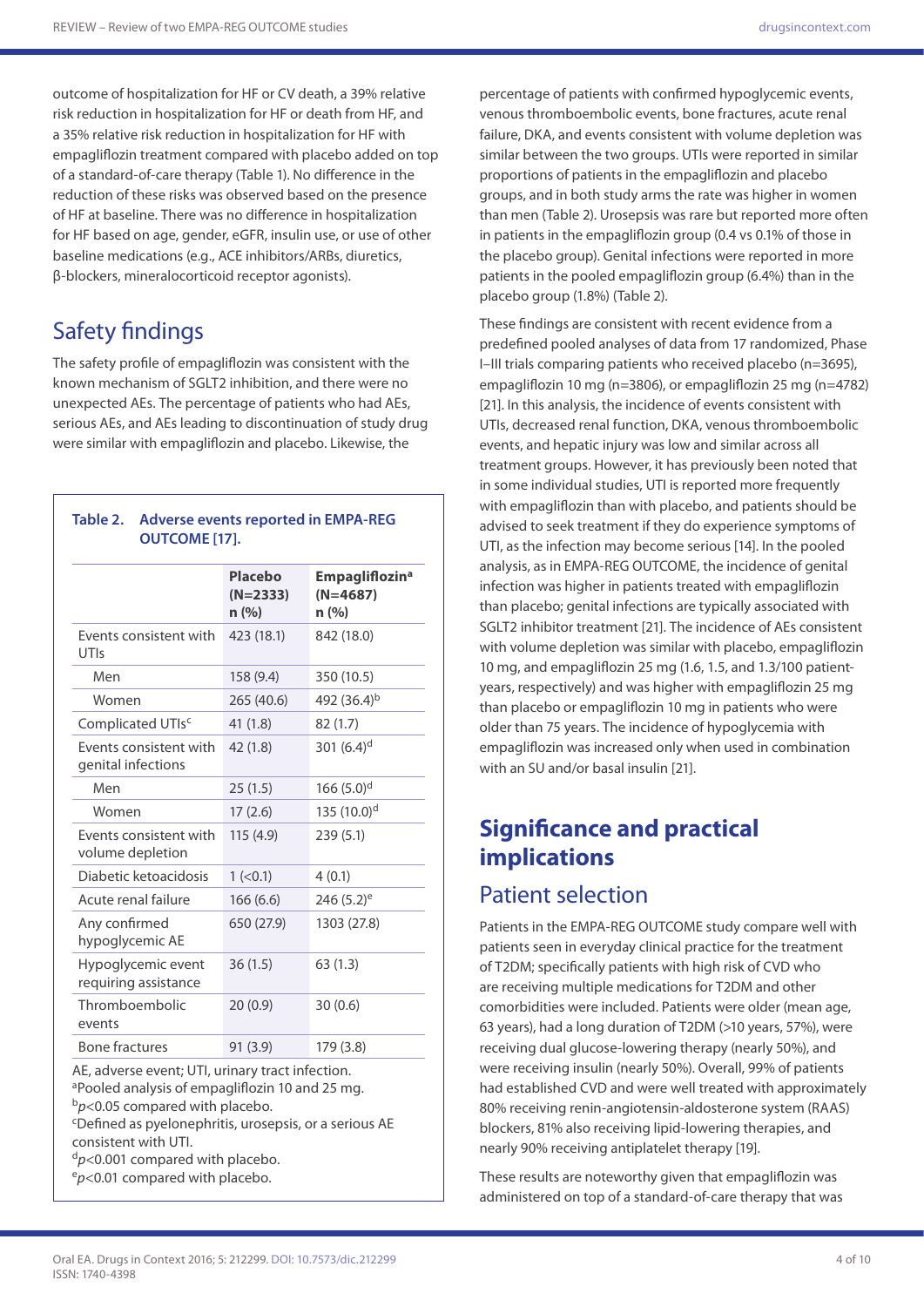outcome of hospitalization for HF or CV death, a 39% relative risk reduction in hospitalization for HF or death from HF, and a 35% relative risk reduction in hospitalization for HF with empagliflozin treatment compared with placebo added on top of a standard-of-care therapy (Table 1). No difference in the reduction of these risks was observed based on the presence of HF at baseline. There was no difference in hospitalization for HF based on age, gender, eGFR, insulin use, or use of other baseline medications (e.g., ACE inhibitors/ARBs, diuretics, β-blockers, mineralocorticoid receptor agonists).

## Safety findings

The safety profile of empagliflozin was consistent with the known mechanism of SGLT2 inhibition, and there were no unexpected AEs. The percentage of patients who had AEs, serious AEs, and AEs leading to discontinuation of study drug were similar with empagliflozin and placebo. Likewise, the

#### **Table 2. Adverse events reported in EMPA-REG OUTCOME [17].**

|                                              | <b>Placebo</b><br>$(N=2333)$<br>n (%) | <b>Empagliflozin<sup>a</sup></b><br>$(N=4687)$<br>n(%) |
|----------------------------------------------|---------------------------------------|--------------------------------------------------------|
| Events consistent with<br>UTIs               | 423 (18.1)                            | 842 (18.0)                                             |
| Men                                          | 158 (9.4)                             | 350 (10.5)                                             |
| Women                                        | 265 (40.6)                            | 492 $(36.4)^b$                                         |
| Complicated UTIsc                            | 41(1.8)                               | 82(1.7)                                                |
| Events consistent with<br>genital infections | 42(1.8)                               | 301 $(6.4)^d$                                          |
| Men                                          | 25(1.5)                               | 166 $(5.0)^d$                                          |
| Women                                        | 17(2.6)                               | 135 (10.0) <sup>d</sup>                                |
| Events consistent with<br>volume depletion   | 115(4.9)                              | 239(5.1)                                               |
| Diabetic ketoacidosis                        | 1 (< 0.1)                             | 4(0.1)                                                 |
| Acute renal failure                          | 166(6.6)                              | $246(5.2)$ <sup>e</sup>                                |
| Any confirmed<br>hypoglycemic AE             | 650 (27.9)                            | 1303 (27.8)                                            |
| Hypoglycemic event<br>requiring assistance   | 36(1.5)                               | 63(1.3)                                                |
| Thromboembolic<br>events                     | 20(0.9)                               | 30(0.6)                                                |
| <b>Bone fractures</b>                        | 91 (3.9)                              | 179 (3.8)                                              |

AE, adverse event; UTI, urinary tract infection. aPooled analysis of empagliflozin 10 and 25 mg. <sup>b</sup>*p*<0.05 compared with placebo. c Defined as pyelonephritis, urosepsis, or a serious AE

consistent with UTI.

<sup>d</sup>*p*<0.001 compared with placebo.

e*p*<0.01 compared with placebo.

percentage of patients with confirmed hypoglycemic events, venous thromboembolic events, bone fractures, acute renal failure, DKA, and events consistent with volume depletion was similar between the two groups. UTIs were reported in similar proportions of patients in the empagliflozin and placebo groups, and in both study arms the rate was higher in women than men (Table 2). Urosepsis was rare but reported more often in patients in the empagliflozin group (0.4 vs 0.1% of those in the placebo group). Genital infections were reported in more patients in the pooled empagliflozin group (6.4%) than in the placebo group (1.8%) (Table 2).

These findings are consistent with recent evidence from a predefined pooled analyses of data from 17 randomized, Phase I–III trials comparing patients who received placebo (n=3695), empagliflozin 10 mg (n=3806), or empagliflozin 25 mg (n=4782) [21]. In this analysis, the incidence of events consistent with UTIs, decreased renal function, DKA, venous thromboembolic events, and hepatic injury was low and similar across all treatment groups. However, it has previously been noted that in some individual studies, UTI is reported more frequently with empagliflozin than with placebo, and patients should be advised to seek treatment if they do experience symptoms of UTI, as the infection may become serious [14]. In the pooled analysis, as in EMPA-REG OUTCOME, the incidence of genital infection was higher in patients treated with empagliflozin than placebo; genital infections are typically associated with SGLT2 inhibitor treatment [21]. The incidence of AEs consistent with volume depletion was similar with placebo, empagliflozin 10 mg, and empagliflozin 25 mg (1.6, 1.5, and 1.3/100 patientyears, respectively) and was higher with empagliflozin 25 mg than placebo or empagliflozin 10 mg in patients who were older than 75 years. The incidence of hypoglycemia with empagliflozin was increased only when used in combination with an SU and/or basal insulin [21].

## **Significance and practical implications**

### Patient selection

Patients in the EMPA-REG OUTCOME study compare well with patients seen in everyday clinical practice for the treatment of T2DM; specifically patients with high risk of CVD who are receiving multiple medications for T2DM and other comorbidities were included. Patients were older (mean age, 63 years), had a long duration of T2DM (>10 years, 57%), were receiving dual glucose-lowering therapy (nearly 50%), and were receiving insulin (nearly 50%). Overall, 99% of patients had established CVD and were well treated with approximately 80% receiving renin-angiotensin-aldosterone system (RAAS) blockers, 81% also receiving lipid-lowering therapies, and nearly 90% receiving antiplatelet therapy [19].

These results are noteworthy given that empagliflozin was administered on top of a standard-of-care therapy that was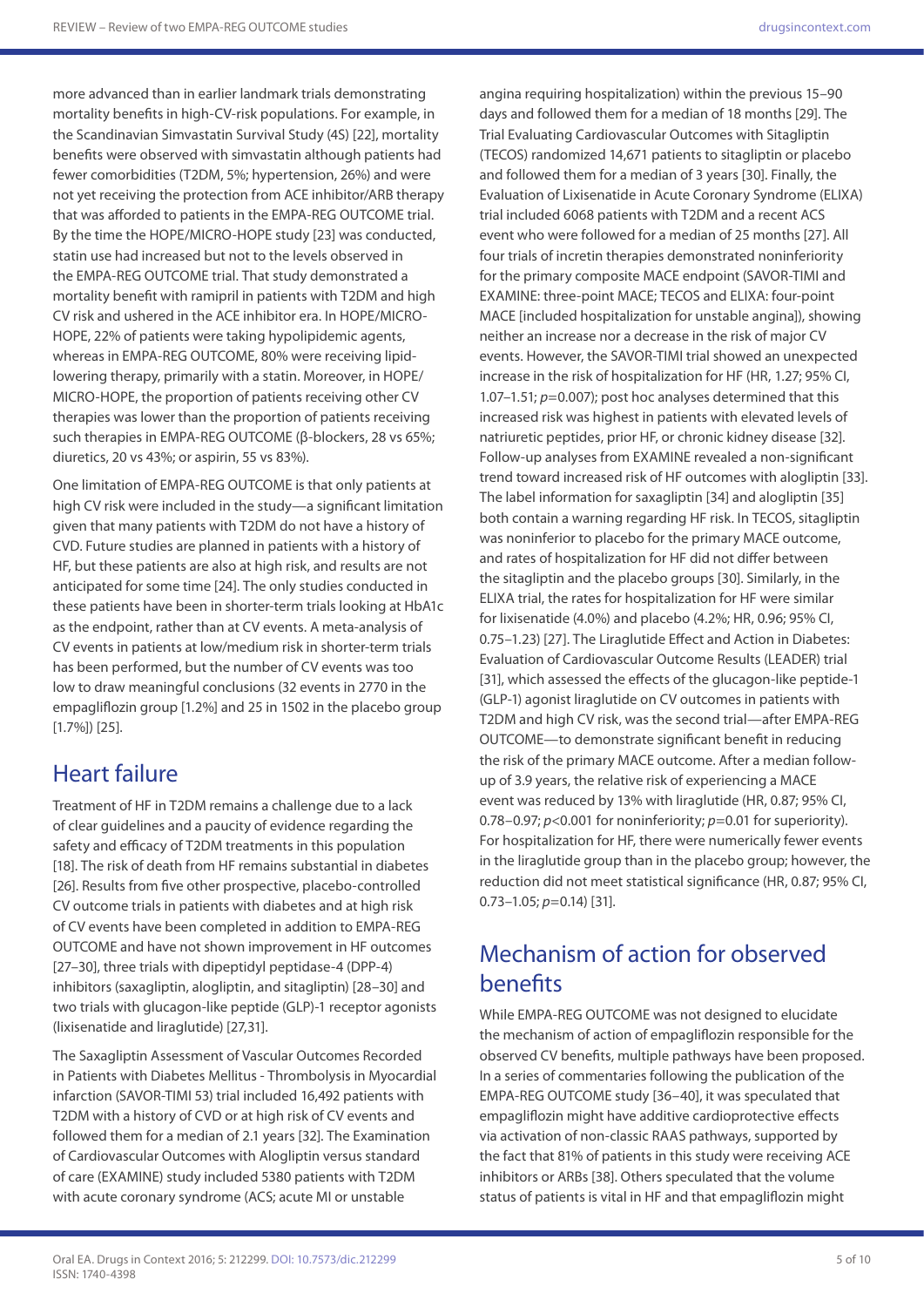more advanced than in earlier landmark trials demonstrating mortality benefits in high-CV-risk populations. For example, in the Scandinavian Simvastatin Survival Study (4S) [22], mortality benefits were observed with simvastatin although patients had fewer comorbidities (T2DM, 5%; hypertension, 26%) and were not yet receiving the protection from ACE inhibitor/ARB therapy that was afforded to patients in the EMPA-REG OUTCOME trial. By the time the HOPE/MICRO-HOPE study [23] was conducted, statin use had increased but not to the levels observed in the EMPA-REG OUTCOME trial. That study demonstrated a mortality benefit with ramipril in patients with T2DM and high CV risk and ushered in the ACE inhibitor era. In HOPE/MICRO-HOPE, 22% of patients were taking hypolipidemic agents, whereas in EMPA-REG OUTCOME, 80% were receiving lipidlowering therapy, primarily with a statin. Moreover, in HOPE/ MICRO-HOPE, the proportion of patients receiving other CV therapies was lower than the proportion of patients receiving such therapies in EMPA-REG OUTCOME (β-blockers, 28 vs 65%; diuretics, 20 vs 43%; or aspirin, 55 vs 83%).

One limitation of EMPA-REG OUTCOME is that only patients at high CV risk were included in the study—a significant limitation given that many patients with T2DM do not have a history of CVD. Future studies are planned in patients with a history of HF, but these patients are also at high risk, and results are not anticipated for some time [24]. The only studies conducted in these patients have been in shorter-term trials looking at HbA1c as the endpoint, rather than at CV events. A meta-analysis of CV events in patients at low/medium risk in shorter-term trials has been performed, but the number of CV events was too low to draw meaningful conclusions (32 events in 2770 in the empagliflozin group [1.2%] and 25 in 1502 in the placebo group [1.7%]) [25].

## Heart failure

Treatment of HF in T2DM remains a challenge due to a lack of clear guidelines and a paucity of evidence regarding the safety and efficacy of T2DM treatments in this population [18]. The risk of death from HF remains substantial in diabetes [26]. Results from five other prospective, placebo-controlled CV outcome trials in patients with diabetes and at high risk of CV events have been completed in addition to EMPA-REG OUTCOME and have not shown improvement in HF outcomes [27–30], three trials with dipeptidyl peptidase-4 (DPP-4) inhibitors (saxagliptin, alogliptin, and sitagliptin) [28–30] and two trials with glucagon-like peptide (GLP)-1 receptor agonists (lixisenatide and liraglutide) [27,31].

The Saxagliptin Assessment of Vascular Outcomes Recorded in Patients with Diabetes Mellitus - Thrombolysis in Myocardial infarction (SAVOR-TIMI 53) trial included 16,492 patients with T2DM with a history of CVD or at high risk of CV events and followed them for a median of 2.1 years [32]. The Examination of Cardiovascular Outcomes with Alogliptin versus standard of care (EXAMINE) study included 5380 patients with T2DM with acute coronary syndrome (ACS; acute MI or unstable

angina requiring hospitalization) within the previous 15–90 days and followed them for a median of 18 months [29]. The Trial Evaluating Cardiovascular Outcomes with Sitagliptin (TECOS) randomized 14,671 patients to sitagliptin or placebo and followed them for a median of 3 years [30]. Finally, the Evaluation of Lixisenatide in Acute Coronary Syndrome (ELIXA) trial included 6068 patients with T2DM and a recent ACS event who were followed for a median of 25 months [27]. All four trials of incretin therapies demonstrated noninferiority for the primary composite MACE endpoint (SAVOR-TIMI and EXAMINE: three-point MACE; TECOS and ELIXA: four-point MACE [included hospitalization for unstable angina]), showing neither an increase nor a decrease in the risk of major CV events. However, the SAVOR-TIMI trial showed an unexpected increase in the risk of hospitalization for HF (HR, 1.27; 95% CI, 1.07–1.51; *p*=0.007); post hoc analyses determined that this increased risk was highest in patients with elevated levels of natriuretic peptides, prior HF, or chronic kidney disease [32]. Follow-up analyses from EXAMINE revealed a non-significant trend toward increased risk of HF outcomes with alogliptin [33]. The label information for saxagliptin [34] and alogliptin [35] both contain a warning regarding HF risk. In TECOS, sitagliptin was noninferior to placebo for the primary MACE outcome, and rates of hospitalization for HF did not differ between the sitagliptin and the placebo groups [30]. Similarly, in the ELIXA trial, the rates for hospitalization for HF were similar for lixisenatide (4.0%) and placebo (4.2%; HR, 0.96; 95% CI, 0.75–1.23) [27]. The Liraglutide Effect and Action in Diabetes: Evaluation of Cardiovascular Outcome Results (LEADER) trial [31], which assessed the effects of the glucagon-like peptide-1 (GLP-1) agonist liraglutide on CV outcomes in patients with T2DM and high CV risk, was the second trial—after EMPA-REG OUTCOME—to demonstrate significant benefit in reducing the risk of the primary MACE outcome. After a median followup of 3.9 years, the relative risk of experiencing a MACE event was reduced by 13% with liraglutide (HR, 0.87; 95% CI, 0.78–0.97; *p*<0.001 for noninferiority; *p*=0.01 for superiority). For hospitalization for HF, there were numerically fewer events in the liraglutide group than in the placebo group; however, the reduction did not meet statistical significance (HR, 0.87; 95% CI, 0.73–1.05; *p*=0.14) [31].

## Mechanism of action for observed benefits

While EMPA-REG OUTCOME was not designed to elucidate the mechanism of action of empagliflozin responsible for the observed CV benefits, multiple pathways have been proposed. In a series of commentaries following the publication of the EMPA-REG OUTCOME study [36–40], it was speculated that empagliflozin might have additive cardioprotective effects via activation of non-classic RAAS pathways, supported by the fact that 81% of patients in this study were receiving ACE inhibitors or ARBs [38]. Others speculated that the volume status of patients is vital in HF and that empagliflozin might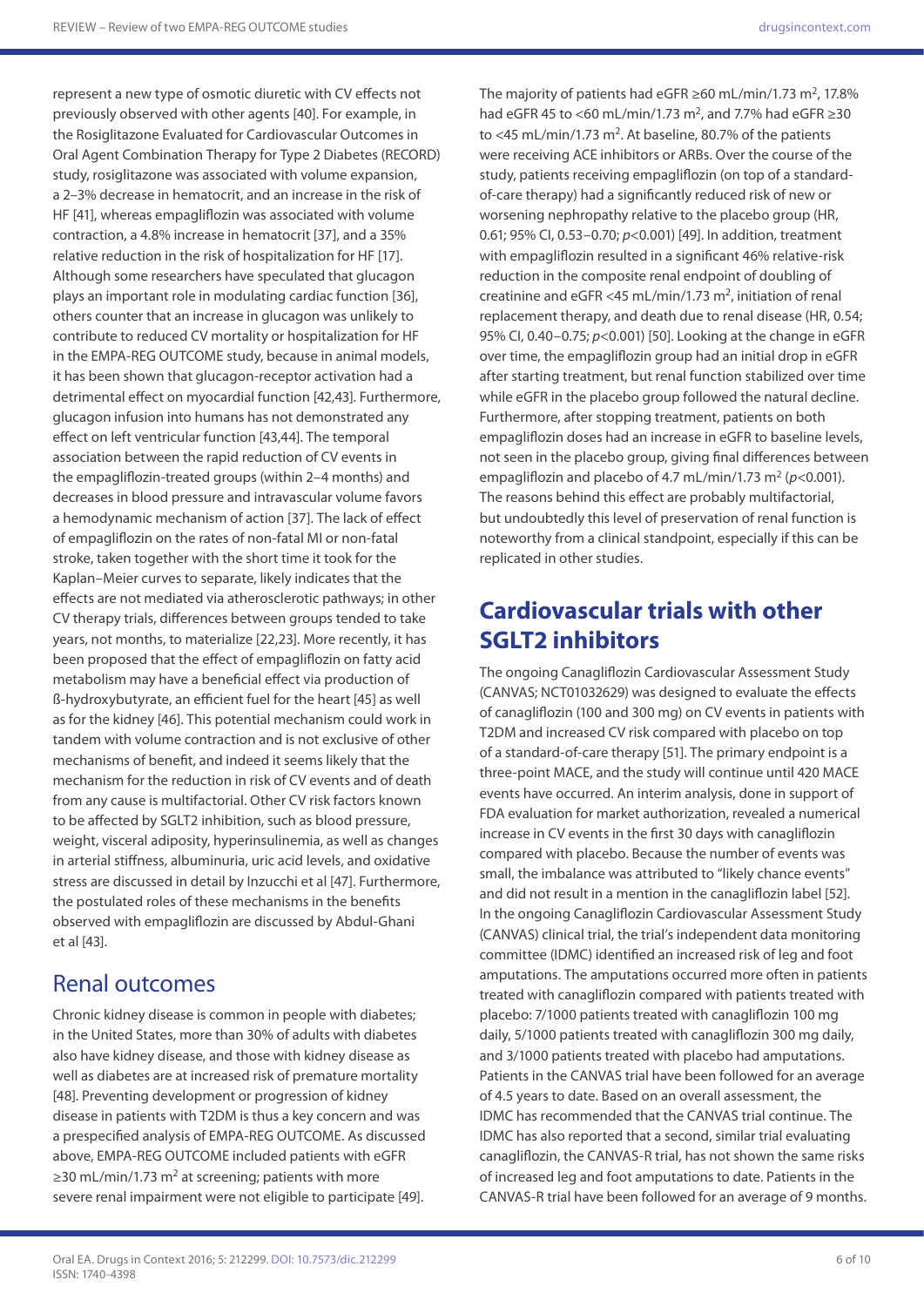represent a new type of osmotic diuretic with CV effects not previously observed with other agents [40]. For example, in the Rosiglitazone Evaluated for Cardiovascular Outcomes in Oral Agent Combination Therapy for Type 2 Diabetes (RECORD) study, rosiglitazone was associated with volume expansion, a 2–3% decrease in hematocrit, and an increase in the risk of HF [41], whereas empagliflozin was associated with volume contraction, a 4.8% increase in hematocrit [37], and a 35% relative reduction in the risk of hospitalization for HF [17]. Although some researchers have speculated that glucagon plays an important role in modulating cardiac function [36], others counter that an increase in glucagon was unlikely to contribute to reduced CV mortality or hospitalization for HF in the EMPA-REG OUTCOME study, because in animal models, it has been shown that glucagon-receptor activation had a detrimental effect on myocardial function [42,43]. Furthermore, glucagon infusion into humans has not demonstrated any effect on left ventricular function [43,44]. The temporal association between the rapid reduction of CV events in the empagliflozin-treated groups (within 2–4 months) and decreases in blood pressure and intravascular volume favors a hemodynamic mechanism of action [37]. The lack of effect of empagliflozin on the rates of non-fatal MI or non-fatal stroke, taken together with the short time it took for the Kaplan–Meier curves to separate, likely indicates that the effects are not mediated via atherosclerotic pathways; in other CV therapy trials, differences between groups tended to take years, not months, to materialize [22,23]. More recently, it has been proposed that the effect of empagliflozin on fatty acid metabolism may have a beneficial effect via production of ß-hydroxybutyrate, an efficient fuel for the heart [45] as well as for the kidney [46]. This potential mechanism could work in tandem with volume contraction and is not exclusive of other mechanisms of benefit, and indeed it seems likely that the mechanism for the reduction in risk of CV events and of death from any cause is multifactorial. Other CV risk factors known to be affected by SGLT2 inhibition, such as blood pressure, weight, visceral adiposity, hyperinsulinemia, as well as changes in arterial stiffness, albuminuria, uric acid levels, and oxidative stress are discussed in detail by Inzucchi et al [47]. Furthermore, the postulated roles of these mechanisms in the benefits observed with empagliflozin are discussed by Abdul-Ghani et al [43].

### Renal outcomes

Chronic kidney disease is common in people with diabetes; in the United States, more than 30% of adults with diabetes also have kidney disease, and those with kidney disease as well as diabetes are at increased risk of premature mortality [48]. Preventing development or progression of kidney disease in patients with T2DM is thus a key concern and was a prespecified analysis of EMPA-REG OUTCOME. As discussed above, EMPA-REG OUTCOME included patients with eGFR  $\geq$ 30 mL/min/1.73 m<sup>2</sup> at screening; patients with more severe renal impairment were not eligible to participate [49].

The majority of patients had eGFR  $\geq$  60 mL/min/1.73 m<sup>2</sup>, 17.8% had eGFR 45 to <60 mL/min/1.73 m<sup>2</sup>, and 7.7% had eGFR  $>30$ to <45 mL/min/1.73 m<sup>2</sup>. At baseline, 80.7% of the patients were receiving ACE inhibitors or ARBs. Over the course of the study, patients receiving empagliflozin (on top of a standardof-care therapy) had a significantly reduced risk of new or worsening nephropathy relative to the placebo group (HR, 0.61; 95% CI, 0.53–0.70; *p*<0.001) [49]. In addition, treatment with empagliflozin resulted in a significant 46% relative-risk reduction in the composite renal endpoint of doubling of creatinine and eGFR <45 mL/min/1.73 m<sup>2</sup>, initiation of renal replacement therapy, and death due to renal disease (HR, 0.54; 95% CI, 0.40–0.75; *p*<0.001) [50]. Looking at the change in eGFR over time, the empagliflozin group had an initial drop in eGFR after starting treatment, but renal function stabilized over time while eGFR in the placebo group followed the natural decline. Furthermore, after stopping treatment, patients on both empagliflozin doses had an increase in eGFR to baseline levels, not seen in the placebo group, giving final differences between empagliflozin and placebo of 4.7 mL/min/1.73 m<sup>2</sup> ( $p$ <0.001). The reasons behind this effect are probably multifactorial, but undoubtedly this level of preservation of renal function is noteworthy from a clinical standpoint, especially if this can be replicated in other studies.

## **Cardiovascular trials with other SGLT2 inhibitors**

The ongoing Canagliflozin Cardiovascular Assessment Study (CANVAS; NCT01032629) was designed to evaluate the effects of canagliflozin (100 and 300 mg) on CV events in patients with T2DM and increased CV risk compared with placebo on top of a standard-of-care therapy [51]. The primary endpoint is a three-point MACE, and the study will continue until 420 MACE events have occurred. An interim analysis, done in support of FDA evaluation for market authorization, revealed a numerical increase in CV events in the first 30 days with canagliflozin compared with placebo. Because the number of events was small, the imbalance was attributed to "likely chance events" and did not result in a mention in the canagliflozin label [52]. In the ongoing Canagliflozin Cardiovascular Assessment Study (CANVAS) clinical trial, the trial's independent data monitoring committee (IDMC) identified an increased risk of leg and foot amputations. The amputations occurred more often in patients treated with canagliflozin compared with patients treated with placebo: 7/1000 patients treated with canagliflozin 100 mg daily, 5/1000 patients treated with canagliflozin 300 mg daily, and 3/1000 patients treated with placebo had amputations. Patients in the CANVAS trial have been followed for an average of 4.5 years to date. Based on an overall assessment, the IDMC has recommended that the CANVAS trial continue. The IDMC has also reported that a second, similar trial evaluating canagliflozin, the CANVAS-R trial, has not shown the same risks of increased leg and foot amputations to date. Patients in the CANVAS-R trial have been followed for an average of 9 months.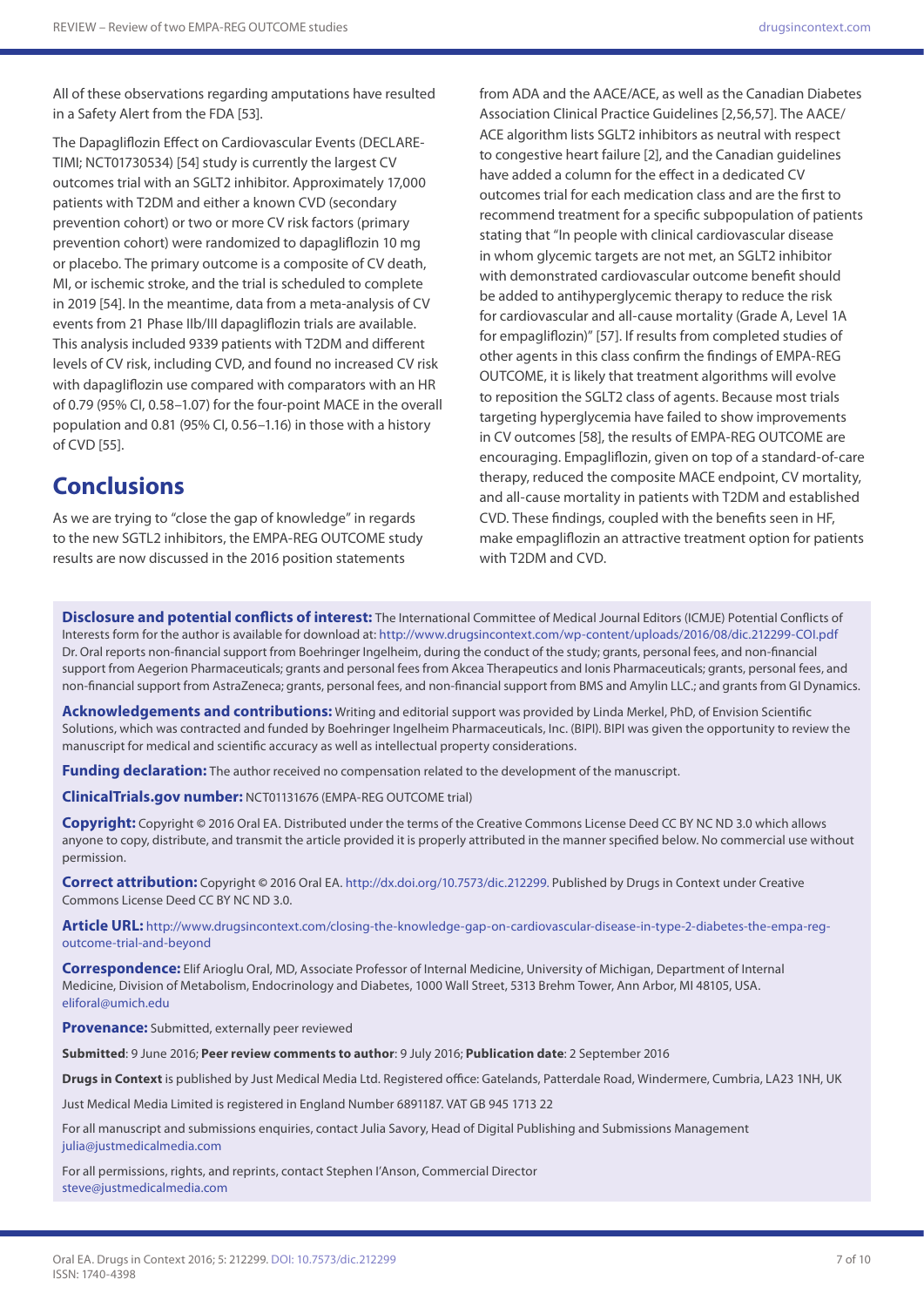All of these observations regarding amputations have resulted in a Safety Alert from the FDA [53].

The Dapagliflozin Effect on Cardiovascular Events (DECLARE-TIMI; NCT01730534) [54] study is currently the largest CV outcomes trial with an SGLT2 inhibitor. Approximately 17,000 patients with T2DM and either a known CVD (secondary prevention cohort) or two or more CV risk factors (primary prevention cohort) were randomized to dapagliflozin 10 mg or placebo. The primary outcome is a composite of CV death, MI, or ischemic stroke, and the trial is scheduled to complete in 2019 [54]. In the meantime, data from a meta-analysis of CV events from 21 Phase IIb/III dapagliflozin trials are available. This analysis included 9339 patients with T2DM and different levels of CV risk, including CVD, and found no increased CV risk with dapagliflozin use compared with comparators with an HR of 0.79 (95% CI, 0.58–1.07) for the four-point MACE in the overall population and 0.81 (95% CI, 0.56–1.16) in those with a history of CVD [55].

#### **Conclusions**

As we are trying to "close the gap of knowledge" in regards to the new SGTL2 inhibitors, the EMPA-REG OUTCOME study results are now discussed in the 2016 position statements

from ADA and the AACE/ACE, as well as the Canadian Diabetes Association Clinical Practice Guidelines [2,56,57]. The AACE/ ACE algorithm lists SGLT2 inhibitors as neutral with respect to congestive heart failure [2], and the Canadian guidelines have added a column for the effect in a dedicated CV outcomes trial for each medication class and are the first to recommend treatment for a specific subpopulation of patients stating that "In people with clinical cardiovascular disease in whom glycemic targets are not met, an SGLT2 inhibitor with demonstrated cardiovascular outcome benefit should be added to antihyperglycemic therapy to reduce the risk for cardiovascular and all-cause mortality (Grade A, Level 1A for empagliflozin)" [57]. If results from completed studies of other agents in this class confirm the findings of EMPA-REG OUTCOME, it is likely that treatment algorithms will evolve to reposition the SGLT2 class of agents. Because most trials targeting hyperglycemia have failed to show improvements in CV outcomes [58], the results of EMPA-REG OUTCOME are encouraging. Empagliflozin, given on top of a standard-of-care therapy, reduced the composite MACE endpoint, CV mortality, and all-cause mortality in patients with T2DM and established CVD. These findings, coupled with the benefits seen in HF, make empagliflozin an attractive treatment option for patients with T2DM and CVD.

**Disclosure and potential conflicts of interest:** The International Committee of Medical Journal Editors (ICMJE) Potential Conflicts of Interests form for the author is available for download at:<http://www.drugsincontext.com/wp-content/uploads/2016/08/dic.212299-COI.pdf> Dr. Oral reports non-financial support from Boehringer Ingelheim, during the conduct of the study; grants, personal fees, and non-financial support from Aegerion Pharmaceuticals; grants and personal fees from Akcea Therapeutics and Ionis Pharmaceuticals; grants, personal fees, and non-financial support from AstraZeneca; grants, personal fees, and non-financial support from BMS and Amylin LLC.; and grants from GI Dynamics.

**Acknowledgements and contributions:** Writing and editorial support was provided by Linda Merkel, PhD, of Envision Scientific Solutions, which was contracted and funded by Boehringer Ingelheim Pharmaceuticals, Inc. (BIPI). BIPI was given the opportunity to review the manuscript for medical and scientific accuracy as well as intellectual property considerations.

**Funding declaration:** The author received no compensation related to the development of the manuscript.

**ClinicalTrials.gov number:** NCT01131676 (EMPA-REG OUTCOME trial)

**Copyright:** Copyright **©** 2016 Oral EA. Distributed under the terms of the Creative Commons License Deed CC BY NC ND 3.0 which allows anyone to copy, distribute, and transmit the article provided it is properly attributed in the manner specified below. No commercial use without permission.

**Correct attribution:** Copyright **©** 2016 Oral EA. <http://dx.doi.org/10.7573/dic.212299>. Published by Drugs in Context under Creative Commons License Deed CC BY NC ND 3.0.

**Article URL:** [http://www.drugsincontext.com/closing-the-knowledge-gap-on-cardiovascular-disease-in-type-2-diabetes-the-empa-reg](http://www.drugsincontext.com/closing-the-knowledge-gap-on-cardiovascular-disease-in-type-2-diabetes-the-empa-reg-outcome-trial-and-beyond)[outcome-trial-and-beyond](http://www.drugsincontext.com/closing-the-knowledge-gap-on-cardiovascular-disease-in-type-2-diabetes-the-empa-reg-outcome-trial-and-beyond)

**Correspondence:** Elif Arioglu Oral, MD, Associate Professor of Internal Medicine, University of Michigan, Department of Internal Medicine, Division of Metabolism, Endocrinology and Diabetes, 1000 Wall Street, 5313 Brehm Tower, Ann Arbor, MI 48105, USA. [eliforal@umich.edu](mailto:eliforal@umich.edu)

**Provenance:** Submitted, externally peer reviewed

**Submitted**: 9 June 2016; **Peer review comments to author**: 9 July 2016; **Publication date**: 2 September 2016

**Drugs in Context** is published by Just Medical Media Ltd. Registered office: Gatelands, Patterdale Road, Windermere, Cumbria, LA23 1NH, UK

Just Medical Media Limited is registered in England Number 6891187. VAT GB 945 1713 22

For all manuscript and submissions enquiries, contact Julia Savory, Head of Digital Publishing and Submissions Management [julia@justmedicalmedia.com](mailto:julia@justmedicalmedia.com)

For all permissions, rights, and reprints, contact Stephen I'Anson, Commercial Director [steve@justmedicalmedia.com](mailto:steve@justmedicalmedia.com)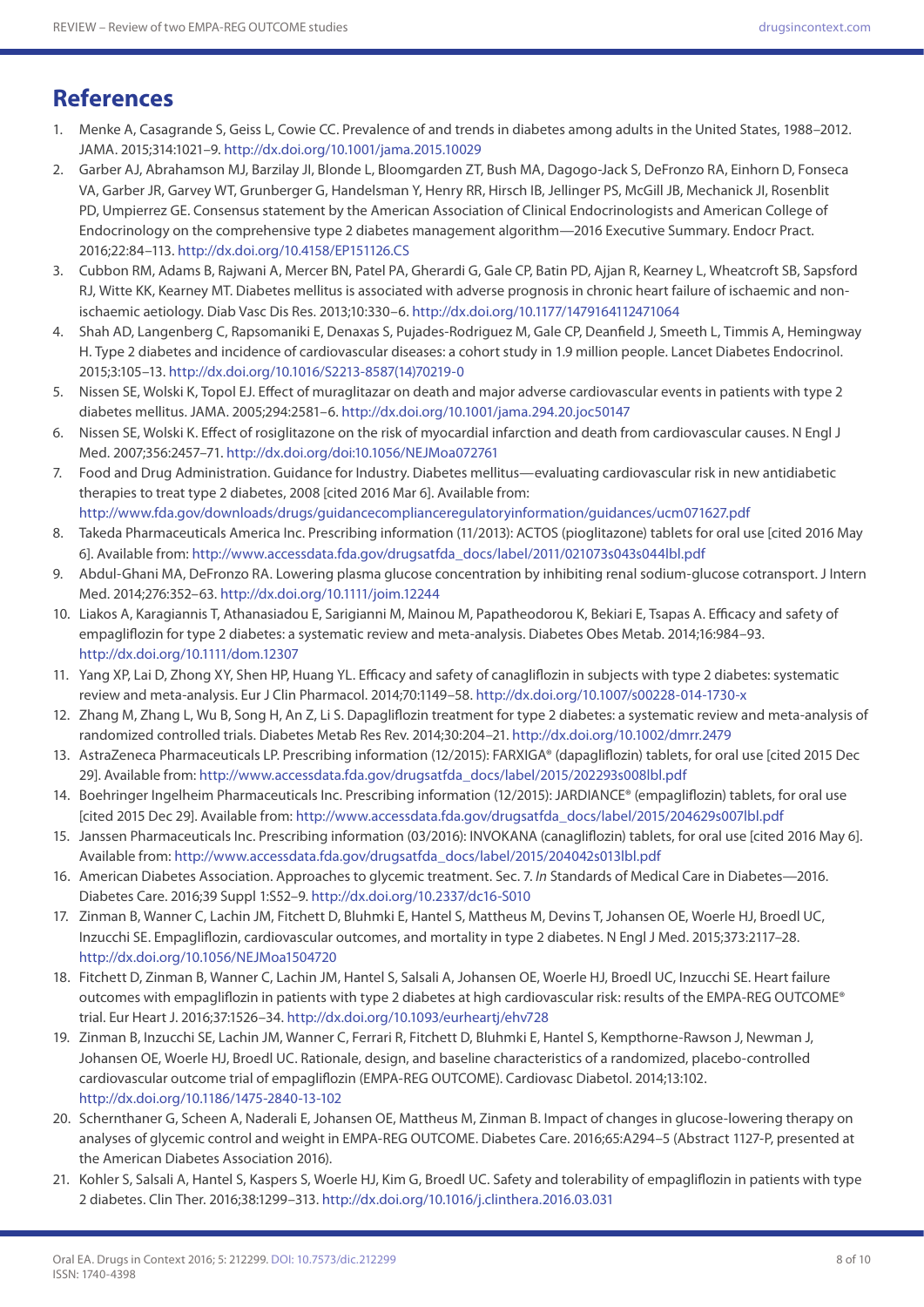## **References**

- 1. Menke A, Casagrande S, Geiss L, Cowie CC. Prevalence of and trends in diabetes among adults in the United States, 1988–2012. JAMA. 2015;314:1021–9.<http://dx.doi.org/10.1001/jama.2015.10029>
- 2. Garber AJ, Abrahamson MJ, Barzilay JI, Blonde L, Bloomgarden ZT, Bush MA, Dagogo-Jack S, DeFronzo RA, Einhorn D, Fonseca VA, Garber JR, Garvey WT, Grunberger G, Handelsman Y, Henry RR, Hirsch IB, Jellinger PS, McGill JB, Mechanick JI, Rosenblit PD, Umpierrez GE. Consensus statement by the American Association of Clinical Endocrinologists and American College of Endocrinology on the comprehensive type 2 diabetes management algorithm—2016 Executive Summary. Endocr Pract. 2016;22:84–113. <http://dx.doi.org/10.4158/EP151126.CS>
- 3. Cubbon RM, Adams B, Rajwani A, Mercer BN, Patel PA, Gherardi G, Gale CP, Batin PD, Ajjan R, Kearney L, Wheatcroft SB, Sapsford RJ, Witte KK, Kearney MT. Diabetes mellitus is associated with adverse prognosis in chronic heart failure of ischaemic and nonischaemic aetiology. Diab Vasc Dis Res. 2013;10:330–6. <http://dx.doi.org/10.1177/1479164112471064>
- 4. Shah AD, Langenberg C, Rapsomaniki E, Denaxas S, Pujades-Rodriguez M, Gale CP, Deanfield J, Smeeth L, Timmis A, Hemingway H. Type 2 diabetes and incidence of cardiovascular diseases: a cohort study in 1.9 million people. Lancet Diabetes Endocrinol. 2015;3:105–13. [http://dx.doi.org/10.1016/S2213-8587\(14\)70219-0](http://dx.doi.org/10.1016/S2213-8587(14)70219-0)
- 5. Nissen SE, Wolski K, Topol EJ. Effect of muraglitazar on death and major adverse cardiovascular events in patients with type 2 diabetes mellitus. JAMA. 2005;294:2581–6.<http://dx.doi.org/10.1001/jama.294.20.joc50147>
- 6. Nissen SE, Wolski K. Effect of rosiglitazone on the risk of myocardial infarction and death from cardiovascular causes. N Engl J Med. 2007;356:2457–71. [http://dx.doi.org/doi:10.1056/NEJMoa072761](http://http://dx.doi.org/doi:10.1056/NEJMoa072761)
- 7. Food and Drug Administration. Guidance for Industry. Diabetes mellitus—evaluating cardiovascular risk in new antidiabetic therapies to treat type 2 diabetes, 2008 [cited 2016 Mar 6]. Available from: <http://www.fda.gov/downloads/drugs/guidancecomplianceregulatoryinformation/guidances/ucm071627.pdf>
- 8. Takeda Pharmaceuticals America Inc. Prescribing information (11/2013): ACTOS (pioglitazone) tablets for oral use [cited 2016 May 6]. Available from: [http://www.accessdata.fda.gov/drugsatfda\\_docs/label/2011/021073s043s044lbl.pdf](http://www.accessdata.fda.gov/drugsatfda_docs/label/2011/021073s043s044lbl.pdf)
- 9. Abdul-Ghani MA, DeFronzo RA. Lowering plasma glucose concentration by inhibiting renal sodium-glucose cotransport. J Intern Med. 2014;276:352–63.<http://dx.doi.org/10.1111/joim.12244>
- 10. Liakos A, Karagiannis T, Athanasiadou E, Sarigianni M, Mainou M, Papatheodorou K, Bekiari E, Tsapas A. Efficacy and safety of empagliflozin for type 2 diabetes: a systematic review and meta-analysis. Diabetes Obes Metab. 2014;16:984–93. <http://dx.doi.org/10.1111/dom.12307>
- 11. Yang XP, Lai D, Zhong XY, Shen HP, Huang YL. Efficacy and safety of canagliflozin in subjects with type 2 diabetes: systematic review and meta-analysis. Eur J Clin Pharmacol. 2014;70:1149–58. <http://dx.doi.org/10.1007/s00228-014-1730-x>
- 12. Zhang M, Zhang L, Wu B, Song H, An Z, Li S. Dapagliflozin treatment for type 2 diabetes: a systematic review and meta-analysis of randomized controlled trials. Diabetes Metab Res Rev. 2014;30:204–21.<http://dx.doi.org/10.1002/dmrr.2479>
- 13. AstraZeneca Pharmaceuticals LP. Prescribing information (12/2015): FARXIGA® (dapagliflozin) tablets, for oral use [cited 2015 Dec 29]. Available from: [http://www.accessdata.fda.gov/drugsatfda\\_docs/label/2015/202293s008lbl.pdf](http://www.accessdata.fda.gov/drugsatfda_docs/label/2015/202293s008lbl.pdf)
- 14. Boehringer Ingelheim Pharmaceuticals Inc. Prescribing information (12/2015): JARDIANCE® (empagliflozin) tablets, for oral use [cited 2015 Dec 29]. Available from: [http://www.accessdata.fda.gov/drugsatfda\\_docs/label/2015/204629s007lbl.pdf](http://www.accessdata.fda.gov/drugsatfda_docs/label/2015/204629s007lbl.pdf)
- 15. Janssen Pharmaceuticals Inc. Prescribing information (03/2016): INVOKANA (canagliflozin) tablets, for oral use [cited 2016 May 6]. Available from: [http://www.accessdata.fda.gov/drugsatfda\\_docs/label/2015/204042s013lbl.pdf](http://www.accessdata.fda.gov/drugsatfda_docs/label/2015/204042s013lbl.pdf)
- 16. American Diabetes Association. Approaches to glycemic treatment. Sec. 7. *In* Standards of Medical Care in Diabetes—2016. Diabetes Care. 2016;39 Suppl 1:S52–9. <http://dx.doi.org/10.2337/dc16-S010>
- 17. Zinman B, Wanner C, Lachin JM, Fitchett D, Bluhmki E, Hantel S, Mattheus M, Devins T, Johansen OE, Woerle HJ, Broedl UC, Inzucchi SE. Empagliflozin, cardiovascular outcomes, and mortality in type 2 diabetes. N Engl J Med. 2015;373:2117–28. <http://dx.doi.org/10.1056/NEJMoa1504720>
- 18. Fitchett D, Zinman B, Wanner C, Lachin JM, Hantel S, Salsali A, Johansen OE, Woerle HJ, Broedl UC, Inzucchi SE. Heart failure outcomes with empagliflozin in patients with type 2 diabetes at high cardiovascular risk: results of the EMPA-REG OUTCOME® trial. Eur Heart J. 2016;37:1526–34.<http://dx.doi.org/10.1093/eurheartj/ehv728>
- 19. Zinman B, Inzucchi SE, Lachin JM, Wanner C, Ferrari R, Fitchett D, Bluhmki E, Hantel S, Kempthorne-Rawson J, Newman J, Johansen OE, Woerle HJ, Broedl UC. Rationale, design, and baseline characteristics of a randomized, placebo-controlled cardiovascular outcome trial of empagliflozin (EMPA-REG OUTCOME). Cardiovasc Diabetol. 2014;13:102. <http://dx.doi.org/10.1186/1475-2840-13-102>
- 20. Schernthaner G, Scheen A, Naderali E, Johansen OE, Mattheus M, Zinman B. Impact of changes in glucose-lowering therapy on analyses of glycemic control and weight in EMPA-REG OUTCOME. Diabetes Care. 2016;65:A294–5 (Abstract 1127-P, presented at the American Diabetes Association 2016).
- 21. Kohler S, Salsali A, Hantel S, Kaspers S, Woerle HJ, Kim G, Broedl UC. Safety and tolerability of empagliflozin in patients with type 2 diabetes. Clin Ther. 2016;38:1299–313. <http://dx.doi.org/10.1016/j.clinthera.2016.03.031>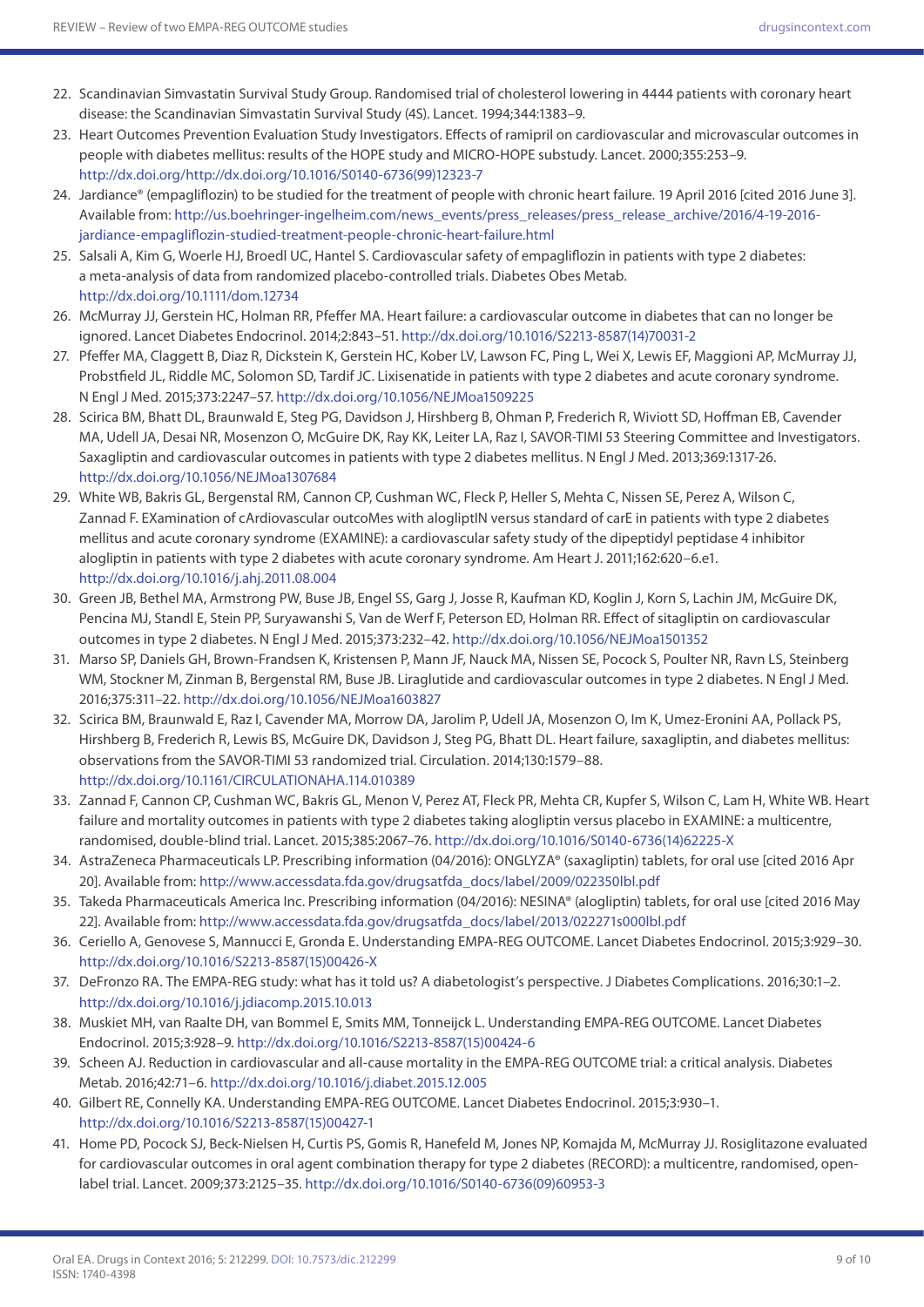- 22. Scandinavian Simvastatin Survival Study Group. Randomised trial of cholesterol lowering in 4444 patients with coronary heart disease: the Scandinavian Simvastatin Survival Study (4S). Lancet. 1994;344:1383–9.
- 23. Heart Outcomes Prevention Evaluation Study Investigators. Effects of ramipril on cardiovascular and microvascular outcomes in people with diabetes mellitus: results of the HOPE study and MICRO-HOPE substudy. Lancet. 2000;355:253–9. [http://dx.doi.org/http://dx.doi.org/10.1016/S0140-6736\(99\)12323-7](http://dx.doi.org/http://dx.doi.org/10.1016/S0140-6736(99)12323-7)
- 24. Jardiance® (empagliflozin) to be studied for the treatment of people with chronic heart failure. 19 April 2016 [cited 2016 June 3]. Available from: [http://us.boehringer-ingelheim.com/news\\_events/press\\_releases/press\\_release\\_archive/2016/4-19-2016](http://us.boehringer-ingelheim.com/news_events/press_releases/press_release_archive/2016/4-19-2016-jardiance-empagliflozin-studied-treatment-people-chronic-heart-failure.html) [jardiance-empagliflozin-studied-treatment-people-chronic-heart-failure.html](http://us.boehringer-ingelheim.com/news_events/press_releases/press_release_archive/2016/4-19-2016-jardiance-empagliflozin-studied-treatment-people-chronic-heart-failure.html)
- 25. Salsali A, Kim G, Woerle HJ, Broedl UC, Hantel S. Cardiovascular safety of empagliflozin in patients with type 2 diabetes: a meta-analysis of data from randomized placebo-controlled trials. Diabetes Obes Metab. <http://dx.doi.org/10.1111/dom.12734>
- 26. McMurray JJ, Gerstein HC, Holman RR, Pfeffer MA. Heart failure: a cardiovascular outcome in diabetes that can no longer be ignored. Lancet Diabetes Endocrinol. 2014;2:843–51. [http://dx.doi.org/10.1016/S2213-8587\(14\)70031-2](http://dx.doi.org/10.1016/S2213-8587(14)70031-2)
- 27. Pfeffer MA, Claggett B, Diaz R, Dickstein K, Gerstein HC, Kober LV, Lawson FC, Ping L, Wei X, Lewis EF, Maggioni AP, McMurray JJ, Probstfield JL, Riddle MC, Solomon SD, Tardif JC. Lixisenatide in patients with type 2 diabetes and acute coronary syndrome. N Engl J Med. 2015;373:2247–57.<http://dx.doi.org/10.1056/NEJMoa1509225>
- 28. Scirica BM, Bhatt DL, Braunwald E, Steg PG, Davidson J, Hirshberg B, Ohman P, Frederich R, Wiviott SD, Hoffman EB, Cavender MA, Udell JA, Desai NR, Mosenzon O, McGuire DK, Ray KK, Leiter LA, Raz I, SAVOR-TIMI 53 Steering Committee and Investigators. Saxagliptin and cardiovascular outcomes in patients with type 2 diabetes mellitus. N Engl J Med. 2013;369:1317-26. <http://dx.doi.org/10.1056/NEJMoa1307684>
- 29. White WB, Bakris GL, Bergenstal RM, Cannon CP, Cushman WC, Fleck P, Heller S, Mehta C, Nissen SE, Perez A, Wilson C, Zannad F. EXamination of cArdiovascular outcoMes with alogliptIN versus standard of carE in patients with type 2 diabetes mellitus and acute coronary syndrome (EXAMINE): a cardiovascular safety study of the dipeptidyl peptidase 4 inhibitor alogliptin in patients with type 2 diabetes with acute coronary syndrome. Am Heart J. 2011;162:620–6.e1. <http://dx.doi.org/10.1016/j.ahj.2011.08.004>
- 30. Green JB, Bethel MA, Armstrong PW, Buse JB, Engel SS, Garg J, Josse R, Kaufman KD, Koglin J, Korn S, Lachin JM, McGuire DK, Pencina MJ, Standl E, Stein PP, Suryawanshi S, Van de Werf F, Peterson ED, Holman RR. Effect of sitagliptin on cardiovascular outcomes in type 2 diabetes. N Engl J Med. 2015;373:232–42. <http://dx.doi.org/10.1056/NEJMoa1501352>
- 31. Marso SP, Daniels GH, Brown-Frandsen K, Kristensen P, Mann JF, Nauck MA, Nissen SE, Pocock S, Poulter NR, Ravn LS, Steinberg WM, Stockner M, Zinman B, Bergenstal RM, Buse JB. Liraglutide and cardiovascular outcomes in type 2 diabetes. N Engl J Med. 2016;375:311–22.<http://dx.doi.org/10.1056/NEJMoa1603827>
- 32. Scirica BM, Braunwald E, Raz I, Cavender MA, Morrow DA, Jarolim P, Udell JA, Mosenzon O, Im K, Umez-Eronini AA, Pollack PS, Hirshberg B, Frederich R, Lewis BS, McGuire DK, Davidson J, Steg PG, Bhatt DL. Heart failure, saxagliptin, and diabetes mellitus: observations from the SAVOR-TIMI 53 randomized trial. Circulation. 2014;130:1579–88. <http://dx.doi.org/10.1161/CIRCULATIONAHA.114.010389>
- 33. Zannad F, Cannon CP, Cushman WC, Bakris GL, Menon V, Perez AT, Fleck PR, Mehta CR, Kupfer S, Wilson C, Lam H, White WB. Heart failure and mortality outcomes in patients with type 2 diabetes taking alogliptin versus placebo in EXAMINE: a multicentre, randomised, double-blind trial. Lancet. 2015;385:2067–76. [http://dx.doi.org/10.1016/S0140-6736\(14\)62225-X](http://http://dx.doi.org/10.1016/S0140-6736(14)62225-X)
- 34. AstraZeneca Pharmaceuticals LP. Prescribing information (04/2016): ONGLYZA® (saxagliptin) tablets, for oral use [cited 2016 Apr 20]. Available from: [http://www.accessdata.fda.gov/drugsatfda\\_docs/label/2009/022350lbl.pdf](http://www.accessdata.fda.gov/drugsatfda_docs/label/2009/022350lbl.pdf)
- 35. Takeda Pharmaceuticals America Inc. Prescribing information (04/2016): NESINA® (alogliptin) tablets, for oral use [cited 2016 May 22]. Available from: [http://www.accessdata.fda.gov/drugsatfda\\_docs/label/2013/022271s000lbl.pdf](http://www.accessdata.fda.gov/drugsatfda_docs/label/2013/022271s000lbl.pdf)
- 36. Ceriello A, Genovese S, Mannucci E, Gronda E. Understanding EMPA-REG OUTCOME. Lancet Diabetes Endocrinol. 2015;3:929–30. [http://dx.doi.org/10.1016/S2213-8587\(15\)00426-X](http://dx.doi.org/10.1016/S2213-8587(15)00426-X)
- 37. DeFronzo RA. The EMPA-REG study: what has it told us? A diabetologist's perspective. J Diabetes Complications. 2016;30:1–2. <http://dx.doi.org/10.1016/j.jdiacomp.2015.10.013>
- 38. Muskiet MH, van Raalte DH, van Bommel E, Smits MM, Tonneijck L. Understanding EMPA-REG OUTCOME. Lancet Diabetes Endocrinol. 2015;3:928–9. [http://dx.doi.org/10.1016/S2213-8587\(15\)00424-6](http://dx.doi.org/10.1016/S2213-8587(15)00424-6)
- 39. Scheen AJ. Reduction in cardiovascular and all-cause mortality in the EMPA-REG OUTCOME trial: a critical analysis. Diabetes Metab. 2016;42:71–6. <http://dx.doi.org/10.1016/j.diabet.2015.12.005>
- 40. Gilbert RE, Connelly KA. Understanding EMPA-REG OUTCOME. Lancet Diabetes Endocrinol. 2015;3:930–1. [http://dx.doi.org/10.1016/S2213-8587\(15\)00427-1](http://dx.doi.org/10.1016/S2213-8587(15)00427-1)
- 41. Home PD, Pocock SJ, Beck-Nielsen H, Curtis PS, Gomis R, Hanefeld M, Jones NP, Komajda M, McMurray JJ. Rosiglitazone evaluated for cardiovascular outcomes in oral agent combination therapy for type 2 diabetes (RECORD): a multicentre, randomised, openlabel trial. Lancet. 2009;373:2125–35. [http://dx.doi.org/10.1016/S0140-6736\(09\)60953-3](http://dx.doi.org/10.1016/S0140-6736(09)60953-3)